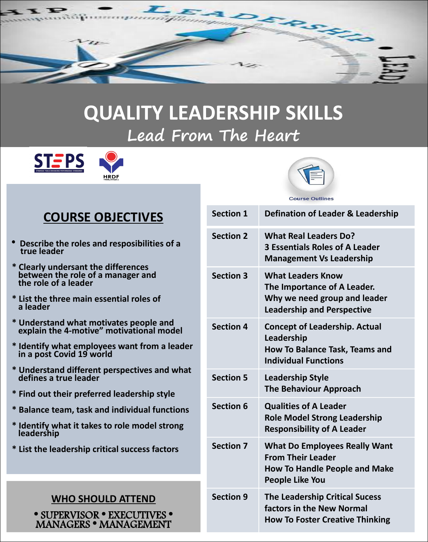

# **QUALITY LEADERSHIP SKILLS Lead From The Heart**





**Course Outlines** 

# **COURSE OBJECTIVES**

- \* **Describe the roles and resposibilities of a true leader**
- **\* Clearly undersant the differences between the role of a manager and the role of a leader**
- **\* List the three main essential roles of a leader**
- **\* Understand what motivates people and explain the 4-motive" motivational model**
- **\* Identify what employees want from a leader in a post Covid 19 world**
- **\* Understand different perspectives and what defines a true leader**
- **\* Find out their preferred leadership style**
- **\* Balance team, task and individual functions**
- **\* Identify what it takes to role model strong leadership**
- **\* List the leadership critical success factors**

## **WHO SHOULD ATTEND**

\* SUPERVISOR \* EXECUTIVES \* MANAGERS \* MANAGEMENT

| <b>Section 2</b><br><b>What Real Leaders Do?</b><br><b>3 Essentials Roles of A Leader</b><br><b>Management Vs Leadership</b><br><b>Section 3</b><br><b>What Leaders Know</b><br>The Importance of A Leader.<br>Why we need group and leader<br><b>Leadership and Perspective</b><br><b>Section 4</b><br><b>Concept of Leadership. Actual</b><br>Leadership<br><b>How To Balance Task, Teams and</b><br><b>Individual Functions</b><br><b>Section 5</b><br><b>Leadership Style</b><br><b>The Behaviour Approach</b><br><b>Section 6</b><br><b>Qualities of A Leader</b><br><b>Role Model Strong Leadership</b><br><b>Responsibility of A Leader</b><br><b>Section 7</b><br><b>What Do Employees Really Want</b><br><b>From Their Leader</b><br><b>How To Handle People and Make</b><br><b>People Like You</b><br><b>Section 9</b><br><b>The Leadership Critical Sucess</b><br>factors in the New Normal<br><b>How To Foster Creative Thinking</b> | <b>Section 1</b> | Defination of Leader & Leadership |
|--------------------------------------------------------------------------------------------------------------------------------------------------------------------------------------------------------------------------------------------------------------------------------------------------------------------------------------------------------------------------------------------------------------------------------------------------------------------------------------------------------------------------------------------------------------------------------------------------------------------------------------------------------------------------------------------------------------------------------------------------------------------------------------------------------------------------------------------------------------------------------------------------------------------------------------------------|------------------|-----------------------------------|
|                                                                                                                                                                                                                                                                                                                                                                                                                                                                                                                                                                                                                                                                                                                                                                                                                                                                                                                                                  |                  |                                   |
|                                                                                                                                                                                                                                                                                                                                                                                                                                                                                                                                                                                                                                                                                                                                                                                                                                                                                                                                                  |                  |                                   |
|                                                                                                                                                                                                                                                                                                                                                                                                                                                                                                                                                                                                                                                                                                                                                                                                                                                                                                                                                  |                  |                                   |
|                                                                                                                                                                                                                                                                                                                                                                                                                                                                                                                                                                                                                                                                                                                                                                                                                                                                                                                                                  |                  |                                   |
|                                                                                                                                                                                                                                                                                                                                                                                                                                                                                                                                                                                                                                                                                                                                                                                                                                                                                                                                                  |                  |                                   |
|                                                                                                                                                                                                                                                                                                                                                                                                                                                                                                                                                                                                                                                                                                                                                                                                                                                                                                                                                  |                  |                                   |
|                                                                                                                                                                                                                                                                                                                                                                                                                                                                                                                                                                                                                                                                                                                                                                                                                                                                                                                                                  |                  |                                   |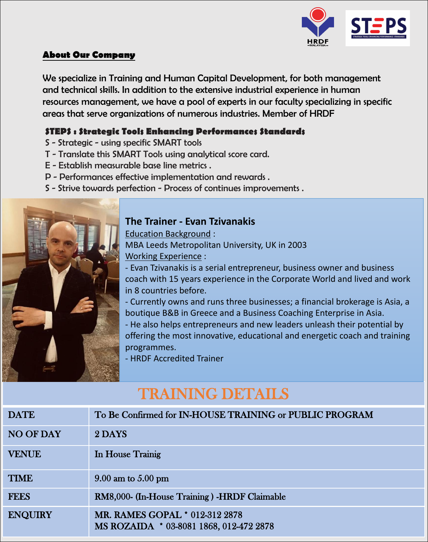

#### **About Our Company**

We specialize in Training and Human Capital Development, for both management and technical skills. In addition to the extensive industrial experience in human resources management, we have a pool of experts in our faculty specializing in specific areas that serve organizations of numerous industries. Member of HRDF

### **STEPS : Strategic Tools Enhancing Performances Standards**

- S Strategic using specific SMART tools
- T Translate this SMART Tools using analytical score card.
- E Establish measurable base line metrics .
- 
- P Performances effective implementation and rewards .<br>S Strive towards perfection Process of continues improvements .



### **The Trainer - Evan Tzivanakis**

Education Background : MBA Leeds Metropolitan University, UK in 2003 Working Experience :

- Evan Tzivanakis is a serial entrepreneur, business owner and business coach with 15 years experience in the Corporate World and lived and work in 8 countries before.

- Currently owns and runs three businesses; a financial brokerage is Asia, a boutique B&B in Greece and a Business Coaching Enterprise in Asia.

- He also helps entrepreneurs and new leaders unleash their potential by offering the most innovative, educational and energetic coach and training programmes.

- HRDF Accredited Trainer

# TRAINING DETAILS

| <b>DATE</b>      | To Be Confirmed for IN-HOUSE TRAINING or PUBLIC PROGRAM                   |
|------------------|---------------------------------------------------------------------------|
| <b>NO OF DAY</b> | 2 DAYS                                                                    |
| <b>VENUE</b>     | In House Trainig                                                          |
| <b>TIME</b>      | $9.00$ am to $5.00$ pm                                                    |
| <b>FEES</b>      | RM8,000- (In-House Training) -HRDF Claimable                              |
| <b>ENQUIRY</b>   | MR. RAMES GOPAL * 012-312 2878<br>MS ROZAIDA * 03-8081 1868, 012-472 2878 |